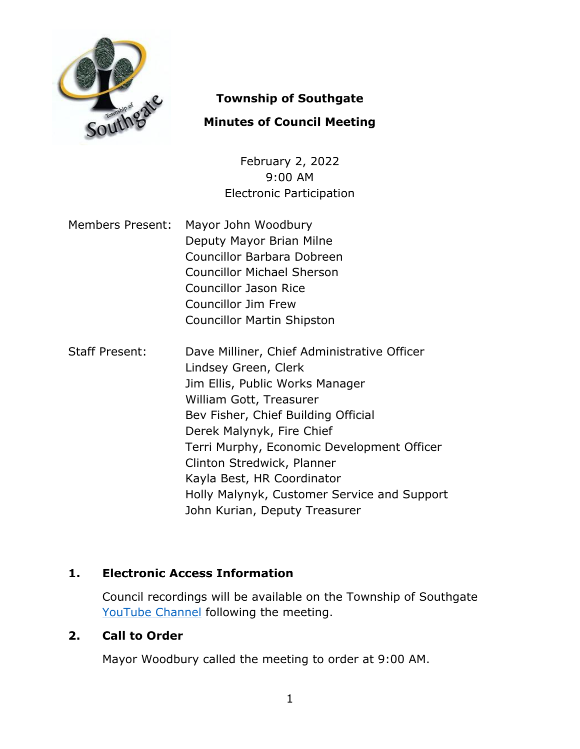

# **Township of Southgate**

# **Minutes of Council Meeting**

February 2, 2022 9:00 AM Electronic Participation

- Members Present: Mayor John Woodbury Deputy Mayor Brian Milne Councillor Barbara Dobreen Councillor Michael Sherson Councillor Jason Rice Councillor Jim Frew Councillor Martin Shipston
- Staff Present: Dave Milliner, Chief Administrative Officer Lindsey Green, Clerk Jim Ellis, Public Works Manager William Gott, Treasurer Bev Fisher, Chief Building Official Derek Malynyk, Fire Chief Terri Murphy, Economic Development Officer Clinton Stredwick, Planner Kayla Best, HR Coordinator Holly Malynyk, Customer Service and Support John Kurian, Deputy Treasurer

# **1. Electronic Access Information**

Council recordings will be available on the Township of Southgate [YouTube Channel](https://www.youtube.com/user/SouthgateTownship) following the meeting.

# **2. Call to Order**

Mayor Woodbury called the meeting to order at 9:00 AM.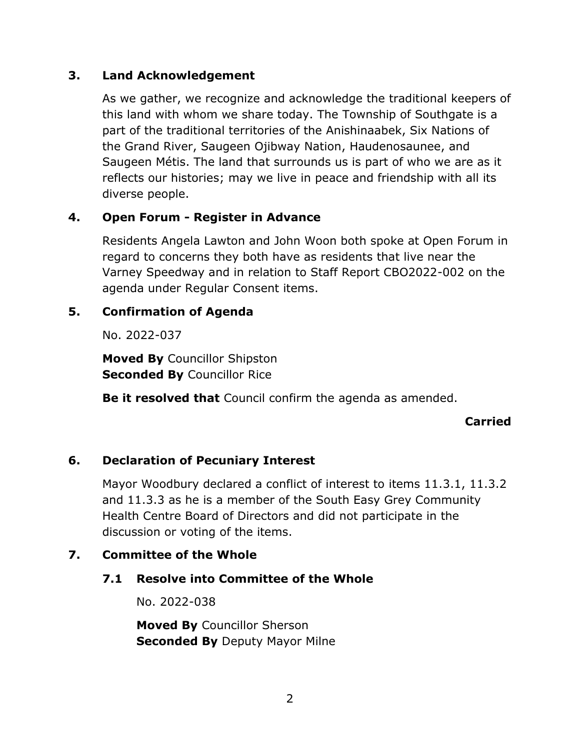## **3. Land Acknowledgement**

As we gather, we recognize and acknowledge the traditional keepers of this land with whom we share today. The Township of Southgate is a part of the traditional territories of the Anishinaabek, Six Nations of the Grand River, Saugeen Ojibway Nation, Haudenosaunee, and Saugeen Métis. The land that surrounds us is part of who we are as it reflects our histories; may we live in peace and friendship with all its diverse people.

# **4. Open Forum - Register in Advance**

Residents Angela Lawton and John Woon both spoke at Open Forum in regard to concerns they both have as residents that live near the Varney Speedway and in relation to Staff Report CBO2022-002 on the agenda under Regular Consent items.

# **5. Confirmation of Agenda**

No. 2022-037

**Moved By** Councillor Shipston **Seconded By Councillor Rice** 

**Be it resolved that** Council confirm the agenda as amended.

### **Carried**

# **6. Declaration of Pecuniary Interest**

Mayor Woodbury declared a conflict of interest to items 11.3.1, 11.3.2 and 11.3.3 as he is a member of the South Easy Grey Community Health Centre Board of Directors and did not participate in the discussion or voting of the items.

# **7. Committee of the Whole**

# **7.1 Resolve into Committee of the Whole**

No. 2022-038

**Moved By** Councillor Sherson **Seconded By Deputy Mayor Milne**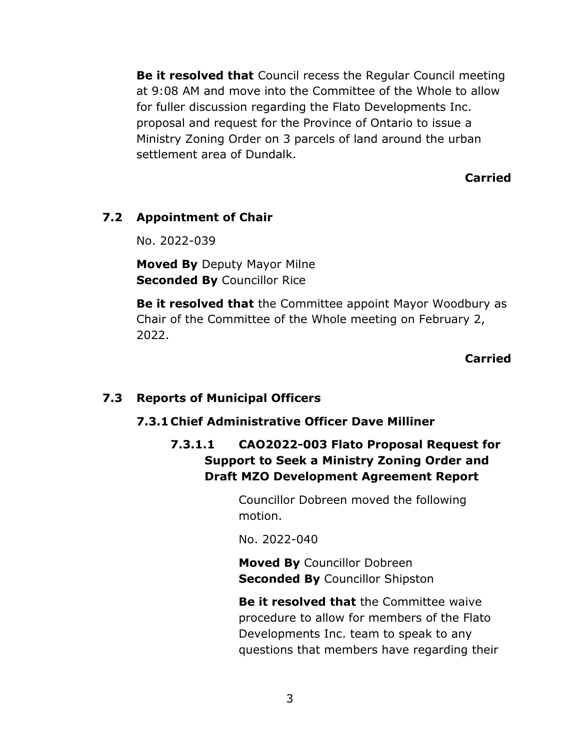**Be it resolved that** Council recess the Regular Council meeting at 9:08 AM and move into the Committee of the Whole to allow for fuller discussion regarding the Flato Developments Inc. proposal and request for the Province of Ontario to issue a Ministry Zoning Order on 3 parcels of land around the urban settlement area of Dundalk.

**Carried**

## **7.2 Appointment of Chair**

No. 2022-039

**Moved By** Deputy Mayor Milne **Seconded By** Councillor Rice

**Be it resolved that** the Committee appoint Mayor Woodbury as Chair of the Committee of the Whole meeting on February 2, 2022.

#### **Carried**

### **7.3 Reports of Municipal Officers**

### **7.3.1 Chief Administrative Officer Dave Milliner**

**7.3.1.1 CAO2022-003 Flato Proposal Request for Support to Seek a Ministry Zoning Order and Draft MZO Development Agreement Report**

> Councillor Dobreen moved the following motion.

No. 2022-040

**Moved By** Councillor Dobreen **Seconded By** Councillor Shipston

**Be it resolved that** the Committee waive procedure to allow for members of the Flato Developments Inc. team to speak to any questions that members have regarding their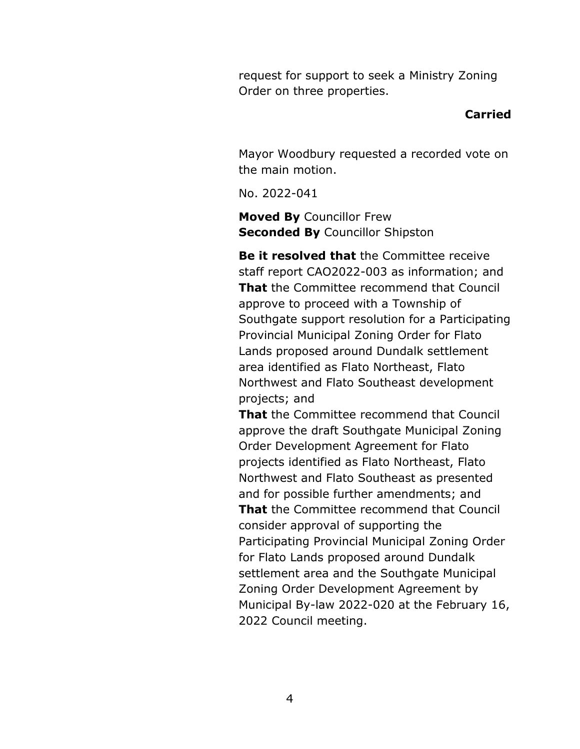request for support to seek a Ministry Zoning Order on three properties.

#### **Carried**

Mayor Woodbury requested a recorded vote on the main motion.

No. 2022-041

**Moved By** Councillor Frew **Seconded By** Councillor Shipston

**Be it resolved that** the Committee receive staff report CAO2022-003 as information; and **That** the Committee recommend that Council approve to proceed with a Township of Southgate support resolution for a Participating Provincial Municipal Zoning Order for Flato Lands proposed around Dundalk settlement area identified as Flato Northeast, Flato Northwest and Flato Southeast development projects; and

**That** the Committee recommend that Council approve the draft Southgate Municipal Zoning Order Development Agreement for Flato projects identified as Flato Northeast, Flato Northwest and Flato Southeast as presented and for possible further amendments; and **That** the Committee recommend that Council consider approval of supporting the Participating Provincial Municipal Zoning Order for Flato Lands proposed around Dundalk settlement area and the Southgate Municipal Zoning Order Development Agreement by Municipal By-law 2022-020 at the February 16, 2022 Council meeting.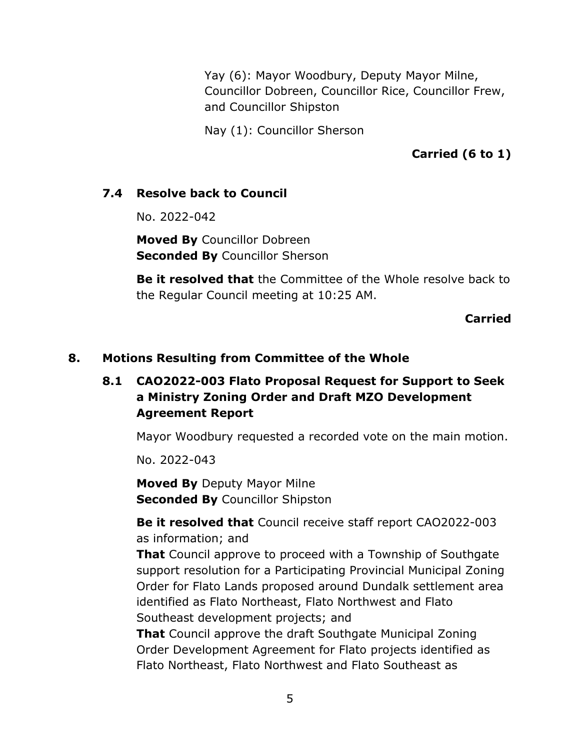Yay (6): Mayor Woodbury, Deputy Mayor Milne, Councillor Dobreen, Councillor Rice, Councillor Frew, and Councillor Shipston

Nay (1): Councillor Sherson

**Carried (6 to 1)**

## **7.4 Resolve back to Council**

No. 2022-042

**Moved By** Councillor Dobreen **Seconded By** Councillor Sherson

**Be it resolved that** the Committee of the Whole resolve back to the Regular Council meeting at 10:25 AM.

**Carried**

### **8. Motions Resulting from Committee of the Whole**

# **8.1 CAO2022-003 Flato Proposal Request for Support to Seek a Ministry Zoning Order and Draft MZO Development Agreement Report**

Mayor Woodbury requested a recorded vote on the main motion.

No. 2022-043

**Moved By** Deputy Mayor Milne **Seconded By** Councillor Shipston

**Be it resolved that** Council receive staff report CAO2022-003 as information; and

**That** Council approve to proceed with a Township of Southgate support resolution for a Participating Provincial Municipal Zoning Order for Flato Lands proposed around Dundalk settlement area identified as Flato Northeast, Flato Northwest and Flato Southeast development projects; and

**That** Council approve the draft Southgate Municipal Zoning Order Development Agreement for Flato projects identified as Flato Northeast, Flato Northwest and Flato Southeast as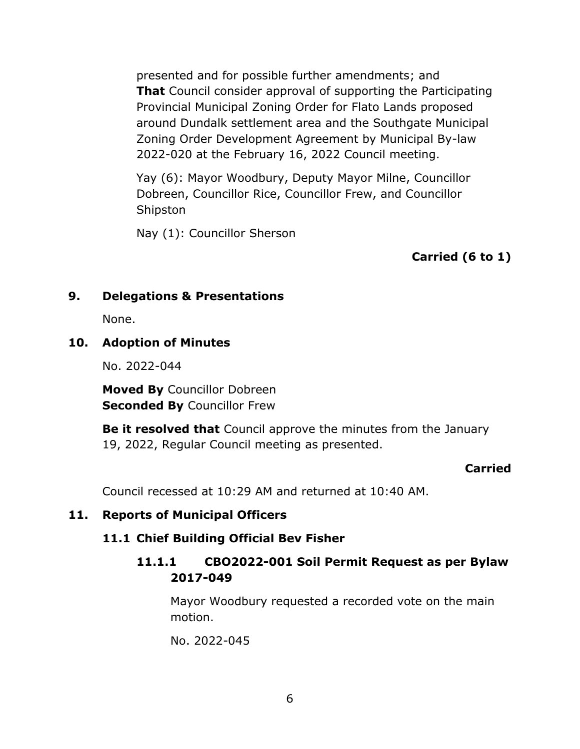presented and for possible further amendments; and **That** Council consider approval of supporting the Participating Provincial Municipal Zoning Order for Flato Lands proposed around Dundalk settlement area and the Southgate Municipal Zoning Order Development Agreement by Municipal By-law 2022-020 at the February 16, 2022 Council meeting.

Yay (6): Mayor Woodbury, Deputy Mayor Milne, Councillor Dobreen, Councillor Rice, Councillor Frew, and Councillor Shipston

Nay (1): Councillor Sherson

**Carried (6 to 1)**

# **9. Delegations & Presentations**

None.

## **10. Adoption of Minutes**

No. 2022-044

**Moved By** Councillor Dobreen **Seconded By** Councillor Frew

**Be it resolved that** Council approve the minutes from the January 19, 2022, Regular Council meeting as presented.

### **Carried**

Council recessed at 10:29 AM and returned at 10:40 AM.

### **11. Reports of Municipal Officers**

# **11.1 Chief Building Official Bev Fisher**

# **11.1.1 CBO2022-001 Soil Permit Request as per Bylaw 2017-049**

Mayor Woodbury requested a recorded vote on the main motion.

No. 2022-045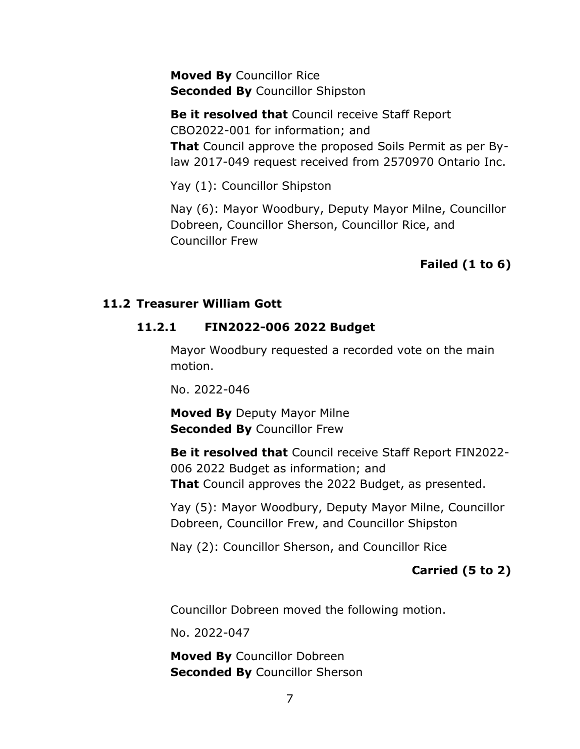**Moved By** Councillor Rice **Seconded By** Councillor Shipston

**Be it resolved that** Council receive Staff Report CBO2022-001 for information; and **That** Council approve the proposed Soils Permit as per Bylaw 2017-049 request received from 2570970 Ontario Inc.

Yay (1): Councillor Shipston

Nay (6): Mayor Woodbury, Deputy Mayor Milne, Councillor Dobreen, Councillor Sherson, Councillor Rice, and Councillor Frew

# **Failed (1 to 6)**

#### **11.2 Treasurer William Gott**

#### **11.2.1 FIN2022-006 2022 Budget**

Mayor Woodbury requested a recorded vote on the main motion.

No. 2022-046

**Moved By** Deputy Mayor Milne **Seconded By** Councillor Frew

**Be it resolved that** Council receive Staff Report FIN2022- 006 2022 Budget as information; and **That** Council approves the 2022 Budget, as presented.

Yay (5): Mayor Woodbury, Deputy Mayor Milne, Councillor Dobreen, Councillor Frew, and Councillor Shipston

Nay (2): Councillor Sherson, and Councillor Rice

### **Carried (5 to 2)**

Councillor Dobreen moved the following motion.

No. 2022-047

**Moved By** Councillor Dobreen **Seconded By** Councillor Sherson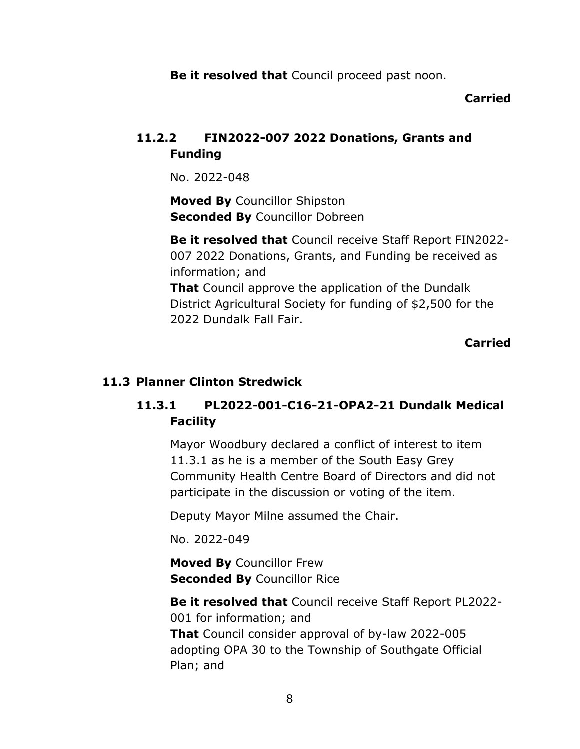**Be it resolved that** Council proceed past noon.

### **Carried**

# **11.2.2 FIN2022-007 2022 Donations, Grants and Funding**

No. 2022-048

**Moved By** Councillor Shipston **Seconded By** Councillor Dobreen

**Be it resolved that** Council receive Staff Report FIN2022- 007 2022 Donations, Grants, and Funding be received as information; and **That** Council approve the application of the Dundalk

District Agricultural Society for funding of \$2,500 for the 2022 Dundalk Fall Fair.

**Carried**

# **11.3 Planner Clinton Stredwick**

# **11.3.1 PL2022-001-C16-21-OPA2-21 Dundalk Medical Facility**

Mayor Woodbury declared a conflict of interest to item 11.3.1 as he is a member of the South Easy Grey Community Health Centre Board of Directors and did not participate in the discussion or voting of the item.

Deputy Mayor Milne assumed the Chair.

No. 2022-049

**Moved By** Councillor Frew **Seconded By** Councillor Rice

**Be it resolved that** Council receive Staff Report PL2022- 001 for information; and **That** Council consider approval of by-law 2022-005 adopting OPA 30 to the Township of Southgate Official Plan; and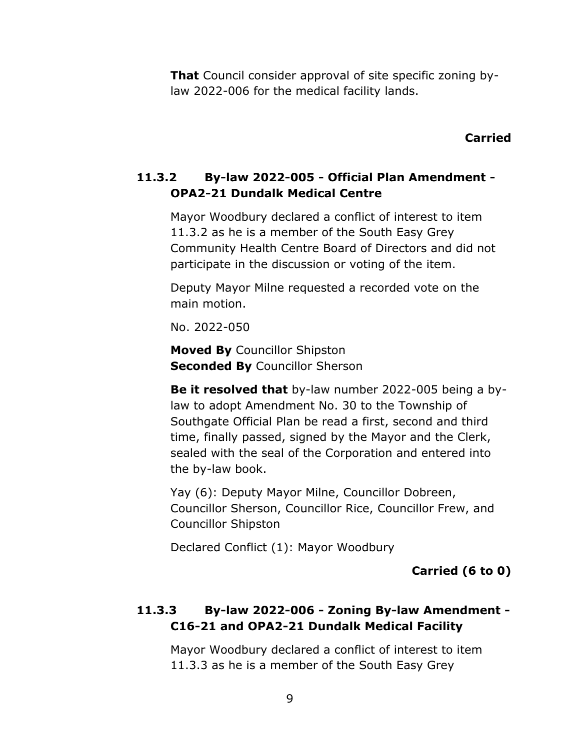**That** Council consider approval of site specific zoning bylaw 2022-006 for the medical facility lands.

#### **Carried**

# **11.3.2 By-law 2022-005 - Official Plan Amendment - OPA2-21 Dundalk Medical Centre**

Mayor Woodbury declared a conflict of interest to item 11.3.2 as he is a member of the South Easy Grey Community Health Centre Board of Directors and did not participate in the discussion or voting of the item.

Deputy Mayor Milne requested a recorded vote on the main motion.

No. 2022-050

**Moved By** Councillor Shipston **Seconded By Councillor Sherson** 

**Be it resolved that** by-law number 2022-005 being a bylaw to adopt Amendment No. 30 to the Township of Southgate Official Plan be read a first, second and third time, finally passed, signed by the Mayor and the Clerk, sealed with the seal of the Corporation and entered into the by-law book.

Yay (6): Deputy Mayor Milne, Councillor Dobreen, Councillor Sherson, Councillor Rice, Councillor Frew, and Councillor Shipston

Declared Conflict (1): Mayor Woodbury

**Carried (6 to 0)**

# **11.3.3 By-law 2022-006 - Zoning By-law Amendment - C16-21 and OPA2-21 Dundalk Medical Facility**

Mayor Woodbury declared a conflict of interest to item 11.3.3 as he is a member of the South Easy Grey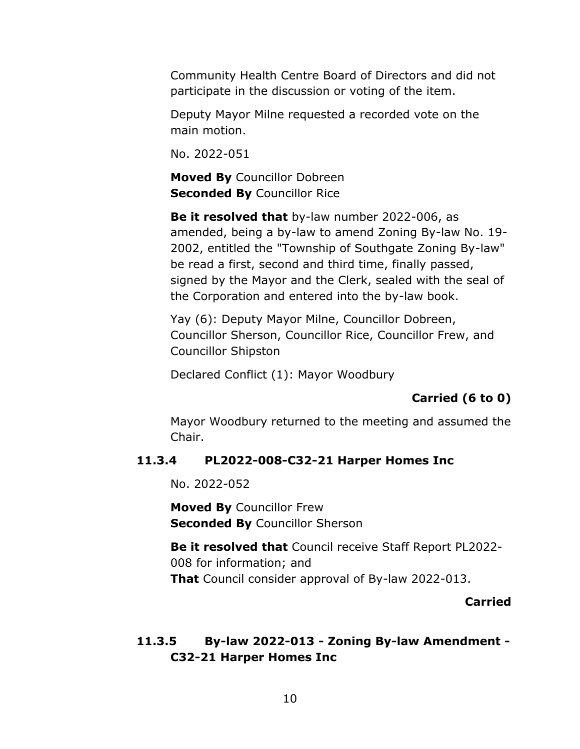Community Health Centre Board of Directors and did not participate in the discussion or voting of the item.

Deputy Mayor Milne requested a recorded vote on the main motion.

No. 2022-051

**Moved By** Councillor Dobreen **Seconded By** Councillor Rice

**Be it resolved that** by-law number 2022-006, as amended, being a by-law to amend Zoning By-law No. 19- 2002, entitled the "Township of Southgate Zoning By-law" be read a first, second and third time, finally passed, signed by the Mayor and the Clerk, sealed with the seal of the Corporation and entered into the by-law book.

Yay (6): Deputy Mayor Milne, Councillor Dobreen, Councillor Sherson, Councillor Rice, Councillor Frew, and Councillor Shipston

Declared Conflict (1): Mayor Woodbury

# **Carried (6 to 0)**

Mayor Woodbury returned to the meeting and assumed the Chair.

### **11.3.4 PL2022-008-C32-21 Harper Homes Inc**

No. 2022-052

**Moved By** Councillor Frew **Seconded By** Councillor Sherson

**Be it resolved that** Council receive Staff Report PL2022- 008 for information; and **That** Council consider approval of By-law 2022-013.

### **Carried**

# **11.3.5 By-law 2022-013 - Zoning By-law Amendment - C32-21 Harper Homes Inc**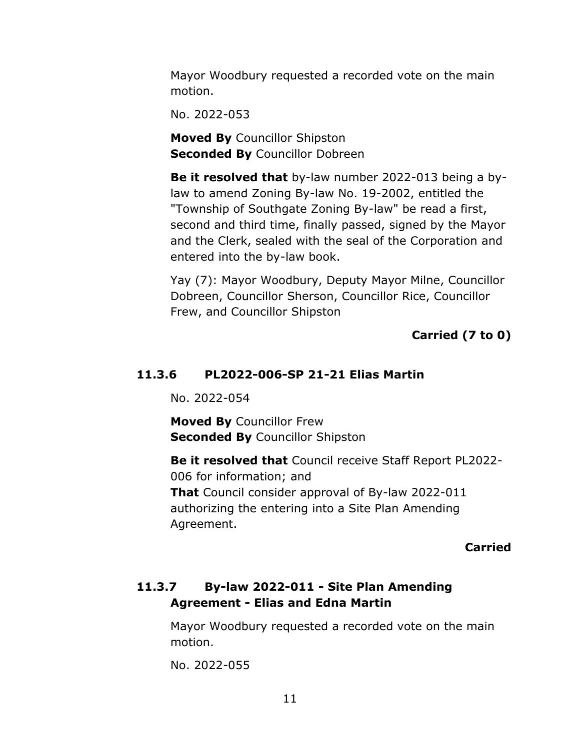Mayor Woodbury requested a recorded vote on the main motion.

No. 2022-053

**Moved By** Councillor Shipston **Seconded By** Councillor Dobreen

**Be it resolved that** by-law number 2022-013 being a bylaw to amend Zoning By-law No. 19-2002, entitled the "Township of Southgate Zoning By-law" be read a first, second and third time, finally passed, signed by the Mayor and the Clerk, sealed with the seal of the Corporation and entered into the by-law book.

Yay (7): Mayor Woodbury, Deputy Mayor Milne, Councillor Dobreen, Councillor Sherson, Councillor Rice, Councillor Frew, and Councillor Shipston

### **Carried (7 to 0)**

#### **11.3.6 PL2022-006-SP 21-21 Elias Martin**

No. 2022-054

**Moved By** Councillor Frew **Seconded By** Councillor Shipston

**Be it resolved that** Council receive Staff Report PL2022- 006 for information; and **That** Council consider approval of By-law 2022-011 authorizing the entering into a Site Plan Amending Agreement.

#### **Carried**

# **11.3.7 By-law 2022-011 - Site Plan Amending Agreement - Elias and Edna Martin**

Mayor Woodbury requested a recorded vote on the main motion.

No. 2022-055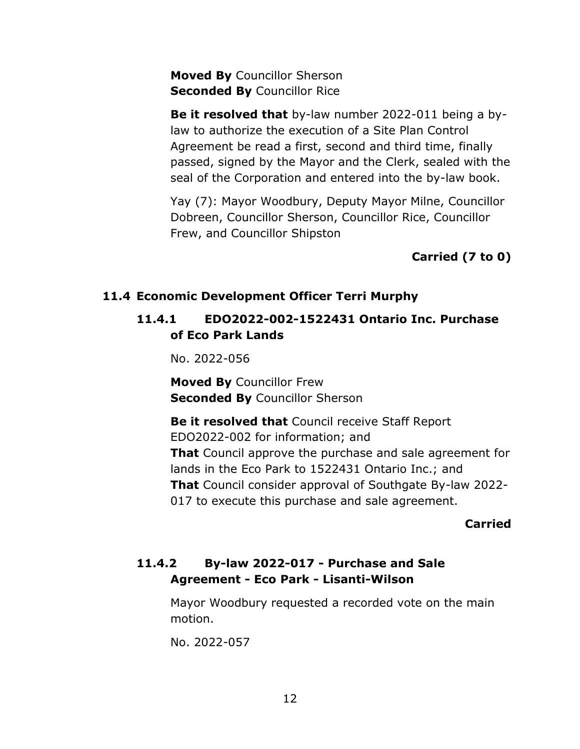**Moved By** Councillor Sherson **Seconded By Councillor Rice** 

**Be it resolved that** by-law number 2022-011 being a bylaw to authorize the execution of a Site Plan Control Agreement be read a first, second and third time, finally passed, signed by the Mayor and the Clerk, sealed with the seal of the Corporation and entered into the by-law book.

Yay (7): Mayor Woodbury, Deputy Mayor Milne, Councillor Dobreen, Councillor Sherson, Councillor Rice, Councillor Frew, and Councillor Shipston

**Carried (7 to 0)**

### **11.4 Economic Development Officer Terri Murphy**

# **11.4.1 EDO2022-002-1522431 Ontario Inc. Purchase of Eco Park Lands**

No. 2022-056

**Moved By** Councillor Frew **Seconded By** Councillor Sherson

**Be it resolved that** Council receive Staff Report EDO2022-002 for information; and **That** Council approve the purchase and sale agreement for lands in the Eco Park to 1522431 Ontario Inc.; and **That** Council consider approval of Southgate By-law 2022- 017 to execute this purchase and sale agreement.

### **Carried**

# **11.4.2 By-law 2022-017 - Purchase and Sale Agreement - Eco Park - Lisanti-Wilson**

Mayor Woodbury requested a recorded vote on the main motion.

No. 2022-057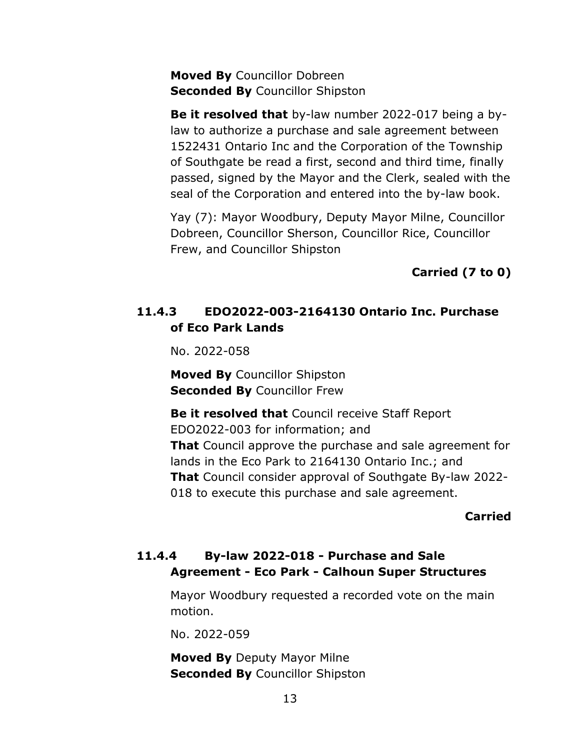**Moved By** Councillor Dobreen **Seconded By** Councillor Shipston

**Be it resolved that** by-law number 2022-017 being a bylaw to authorize a purchase and sale agreement between 1522431 Ontario Inc and the Corporation of the Township of Southgate be read a first, second and third time, finally passed, signed by the Mayor and the Clerk, sealed with the seal of the Corporation and entered into the by-law book.

Yay (7): Mayor Woodbury, Deputy Mayor Milne, Councillor Dobreen, Councillor Sherson, Councillor Rice, Councillor Frew, and Councillor Shipston

**Carried (7 to 0)**

# **11.4.3 EDO2022-003-2164130 Ontario Inc. Purchase of Eco Park Lands**

No. 2022-058

**Moved By** Councillor Shipston **Seconded By** Councillor Frew

**Be it resolved that** Council receive Staff Report EDO2022-003 for information; and **That** Council approve the purchase and sale agreement for lands in the Eco Park to 2164130 Ontario Inc.; and **That** Council consider approval of Southgate By-law 2022- 018 to execute this purchase and sale agreement.

### **Carried**

# **11.4.4 By-law 2022-018 - Purchase and Sale Agreement - Eco Park - Calhoun Super Structures**

Mayor Woodbury requested a recorded vote on the main motion.

No. 2022-059

**Moved By** Deputy Mayor Milne **Seconded By** Councillor Shipston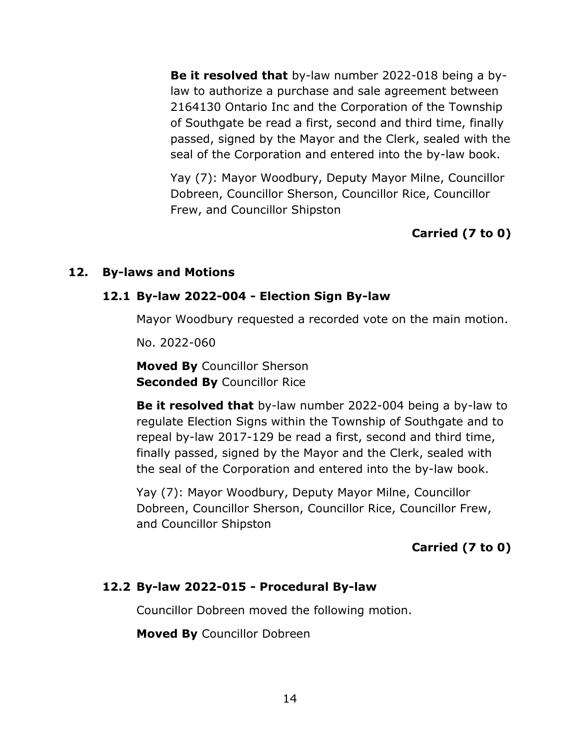**Be it resolved that** by-law number 2022-018 being a bylaw to authorize a purchase and sale agreement between 2164130 Ontario Inc and the Corporation of the Township of Southgate be read a first, second and third time, finally passed, signed by the Mayor and the Clerk, sealed with the seal of the Corporation and entered into the by-law book.

Yay (7): Mayor Woodbury, Deputy Mayor Milne, Councillor Dobreen, Councillor Sherson, Councillor Rice, Councillor Frew, and Councillor Shipston

# **Carried (7 to 0)**

#### **12. By-laws and Motions**

#### **12.1 By-law 2022-004 - Election Sign By-law**

Mayor Woodbury requested a recorded vote on the main motion.

No. 2022-060

**Moved By** Councillor Sherson **Seconded By** Councillor Rice

**Be it resolved that** by-law number 2022-004 being a by-law to regulate Election Signs within the Township of Southgate and to repeal by-law 2017-129 be read a first, second and third time, finally passed, signed by the Mayor and the Clerk, sealed with the seal of the Corporation and entered into the by-law book.

Yay (7): Mayor Woodbury, Deputy Mayor Milne, Councillor Dobreen, Councillor Sherson, Councillor Rice, Councillor Frew, and Councillor Shipston

# **Carried (7 to 0)**

### **12.2 By-law 2022-015 - Procedural By-law**

Councillor Dobreen moved the following motion.

**Moved By** Councillor Dobreen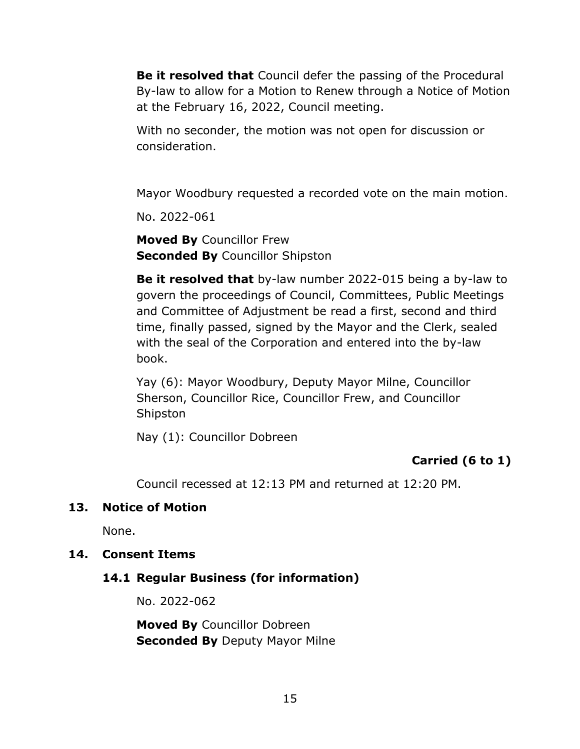**Be it resolved that** Council defer the passing of the Procedural By-law to allow for a Motion to Renew through a Notice of Motion at the February 16, 2022, Council meeting.

With no seconder, the motion was not open for discussion or consideration.

Mayor Woodbury requested a recorded vote on the main motion.

No. 2022-061

**Moved By** Councillor Frew **Seconded By** Councillor Shipston

**Be it resolved that** by-law number 2022-015 being a by-law to govern the proceedings of Council, Committees, Public Meetings and Committee of Adjustment be read a first, second and third time, finally passed, signed by the Mayor and the Clerk, sealed with the seal of the Corporation and entered into the by-law book.

Yay (6): Mayor Woodbury, Deputy Mayor Milne, Councillor Sherson, Councillor Rice, Councillor Frew, and Councillor Shipston

Nay (1): Councillor Dobreen

# **Carried (6 to 1)**

Council recessed at 12:13 PM and returned at 12:20 PM.

### **13. Notice of Motion**

None.

### **14. Consent Items**

### **14.1 Regular Business (for information)**

No. 2022-062

**Moved By** Councillor Dobreen **Seconded By Deputy Mayor Milne**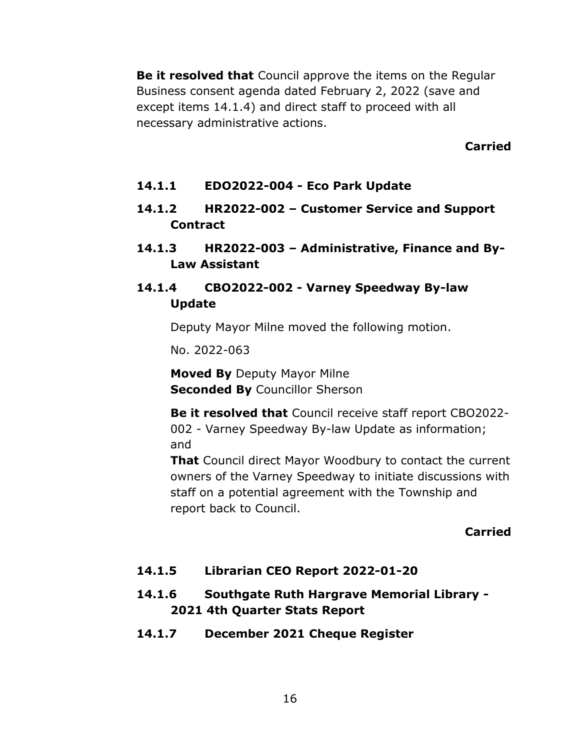**Be it resolved that** Council approve the items on the Regular Business consent agenda dated February 2, 2022 (save and except items 14.1.4) and direct staff to proceed with all necessary administrative actions.

**Carried**

- **14.1.1 EDO2022-004 - Eco Park Update**
- **14.1.2 HR2022-002 – Customer Service and Support Contract**
- **14.1.3 HR2022-003 – Administrative, Finance and By-Law Assistant**

# **14.1.4 CBO2022-002 - Varney Speedway By-law Update**

Deputy Mayor Milne moved the following motion.

No. 2022-063

**Moved By** Deputy Mayor Milne **Seconded By** Councillor Sherson

**Be it resolved that** Council receive staff report CBO2022- 002 - Varney Speedway By-law Update as information; and

**That** Council direct Mayor Woodbury to contact the current owners of the Varney Speedway to initiate discussions with staff on a potential agreement with the Township and report back to Council.

# **Carried**

# **14.1.5 Librarian CEO Report 2022-01-20**

# **14.1.6 Southgate Ruth Hargrave Memorial Library - 2021 4th Quarter Stats Report**

**14.1.7 December 2021 Cheque Register**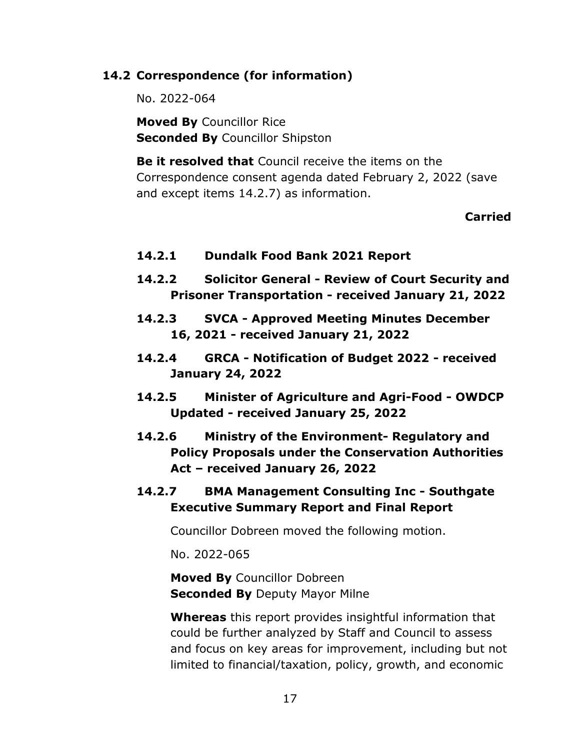## **14.2 Correspondence (for information)**

No. 2022-064

**Moved By** Councillor Rice **Seconded By** Councillor Shipston

**Be it resolved that** Council receive the items on the Correspondence consent agenda dated February 2, 2022 (save and except items 14.2.7) as information.

#### **Carried**

- **14.2.1 Dundalk Food Bank 2021 Report**
- **14.2.2 Solicitor General - Review of Court Security and Prisoner Transportation - received January 21, 2022**
- **14.2.3 SVCA - Approved Meeting Minutes December 16, 2021 - received January 21, 2022**
- **14.2.4 GRCA - Notification of Budget 2022 - received January 24, 2022**
- **14.2.5 Minister of Agriculture and Agri-Food - OWDCP Updated - received January 25, 2022**
- **14.2.6 Ministry of the Environment- Regulatory and Policy Proposals under the Conservation Authorities Act – received January 26, 2022**
- **14.2.7 BMA Management Consulting Inc - Southgate Executive Summary Report and Final Report**

Councillor Dobreen moved the following motion.

No. 2022-065

**Moved By** Councillor Dobreen **Seconded By** Deputy Mayor Milne

**Whereas** this report provides insightful information that could be further analyzed by Staff and Council to assess and focus on key areas for improvement, including but not limited to financial/taxation, policy, growth, and economic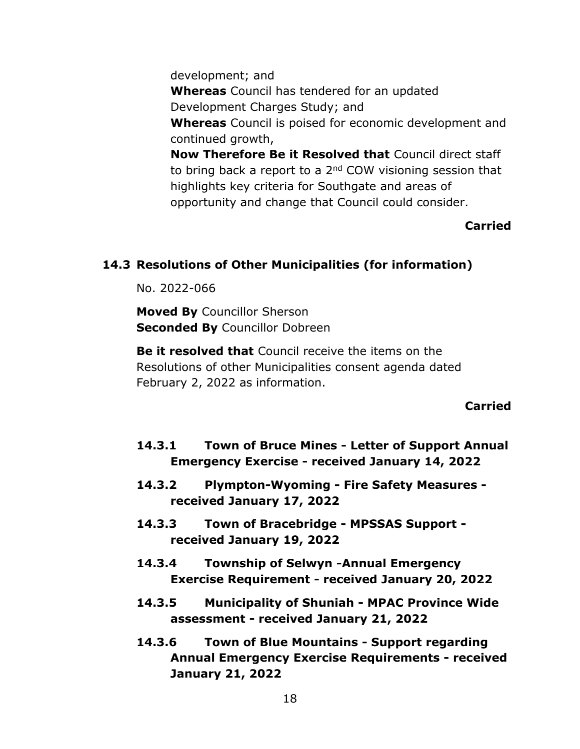development; and **Whereas** Council has tendered for an updated Development Charges Study; and **Whereas** Council is poised for economic development and continued growth, **Now Therefore Be it Resolved that** Council direct staff to bring back a report to a 2<sup>nd</sup> COW visioning session that highlights key criteria for Southgate and areas of opportunity and change that Council could consider.

## **Carried**

### **14.3 Resolutions of Other Municipalities (for information)**

No. 2022-066

**Moved By** Councillor Sherson **Seconded By** Councillor Dobreen

**Be it resolved that** Council receive the items on the Resolutions of other Municipalities consent agenda dated February 2, 2022 as information.

#### **Carried**

- **14.3.1 Town of Bruce Mines - Letter of Support Annual Emergency Exercise - received January 14, 2022**
- **14.3.2 Plympton-Wyoming - Fire Safety Measures received January 17, 2022**
- **14.3.3 Town of Bracebridge - MPSSAS Support received January 19, 2022**
- **14.3.4 Township of Selwyn -Annual Emergency Exercise Requirement - received January 20, 2022**
- **14.3.5 Municipality of Shuniah - MPAC Province Wide assessment - received January 21, 2022**
- **14.3.6 Town of Blue Mountains - Support regarding Annual Emergency Exercise Requirements - received January 21, 2022**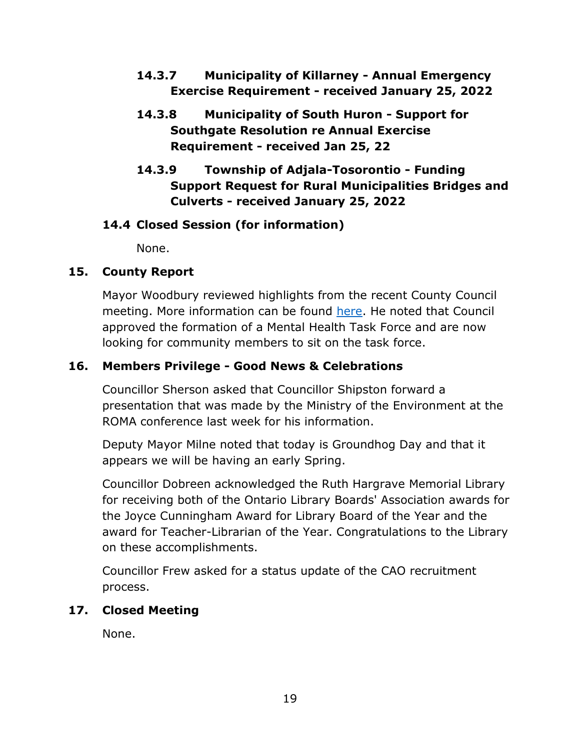- **14.3.7 Municipality of Killarney - Annual Emergency Exercise Requirement - received January 25, 2022**
- **14.3.8 Municipality of South Huron - Support for Southgate Resolution re Annual Exercise Requirement - received Jan 25, 22**
- **14.3.9 Township of Adjala-Tosorontio - Funding Support Request for Rural Municipalities Bridges and Culverts - received January 25, 2022**

# **14.4 Closed Session (for information)**

None.

# **15. County Report**

Mayor Woodbury reviewed highlights from the recent County Council meeting. More information can be found [here.](https://www.grey.ca/council) He noted that Council approved the formation of a Mental Health Task Force and are now looking for community members to sit on the task force.

# **16. Members Privilege - Good News & Celebrations**

Councillor Sherson asked that Councillor Shipston forward a presentation that was made by the Ministry of the Environment at the ROMA conference last week for his information.

Deputy Mayor Milne noted that today is Groundhog Day and that it appears we will be having an early Spring.

Councillor Dobreen acknowledged the Ruth Hargrave Memorial Library for receiving both of the Ontario Library Boards' Association awards for the Joyce Cunningham Award for Library Board of the Year and the award for Teacher-Librarian of the Year. Congratulations to the Library on these accomplishments.

Councillor Frew asked for a status update of the CAO recruitment process.

# **17. Closed Meeting**

None.